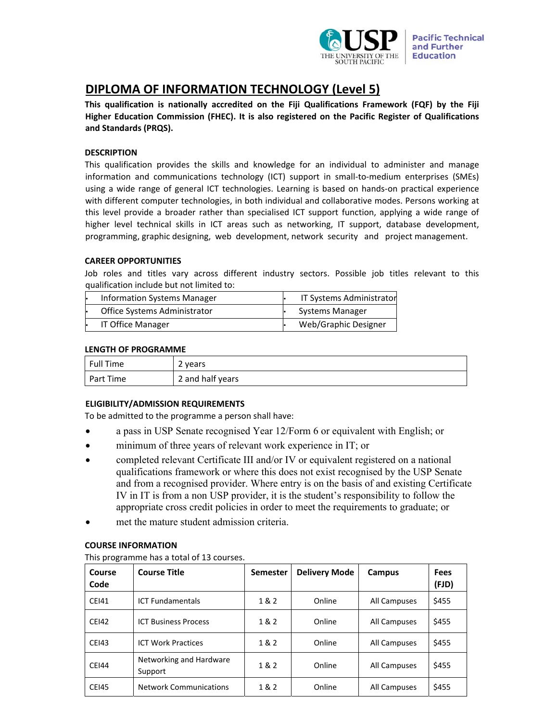

# **DIPLOMA OF INFORMATION TECHNOLOGY (Level 5)**

**This qualification is nationally accredited on the Fiji Qualifications Framework (FQF) by the Fiji Higher Education Commission (FHEC). It is also registered on the Pacific Register of Qualifications and Standards (PRQS).** 

# **DESCRIPTION**

This qualification provides the skills and knowledge for an individual to administer and manage information and communications technology (ICT) support in small-to-medium enterprises (SMEs) using a wide range of general ICT technologies. Learning is based on hands-on practical experience with different computer technologies, in both individual and collaborative modes. Persons working at this level provide a broader rather than specialised ICT support function, applying a wide range of higher level technical skills in ICT areas such as networking, IT support, database development, programming, graphic designing, web development, network security and project management.

# **CAREER OPPORTUNITIES**

Job roles and titles vary across different industry sectors. Possible job titles relevant to this qualification include but not limited to:

| Information Systems Manager  | IT Systems Administrator |
|------------------------------|--------------------------|
| Office Systems Administrator | Systems Manager          |
| IT Office Manager            | Web/Graphic Designer     |

## **LENGTH OF PROGRAMME**

| Full Time | 2 years          |
|-----------|------------------|
| Part Time | 2 and half years |

# **ELIGIBILITY/ADMISSION REQUIREMENTS**

To be admitted to the programme a person shall have:

- a pass in USP Senate recognised Year 12/Form 6 or equivalent with English; or
- minimum of three years of relevant work experience in IT; or
- completed relevant Certificate III and/or IV or equivalent registered on a national qualifications framework or where this does not exist recognised by the USP Senate and from a recognised provider. Where entry is on the basis of and existing Certificate IV in IT is from a non USP provider, it is the student's responsibility to follow the appropriate cross credit policies in order to meet the requirements to graduate; or
- met the mature student admission criteria.

## **COURSE INFORMATION**

This programme has a total of 13 courses.

| Course<br>Code | <b>Course Title</b>                | <b>Semester</b> | <b>Delivery Mode</b> | Campus       | <b>Fees</b><br>(FJD) |
|----------------|------------------------------------|-----------------|----------------------|--------------|----------------------|
| <b>CEI41</b>   | <b>ICT Fundamentals</b>            | 1 & 2           | Online               | All Campuses | \$455                |
| <b>CEI42</b>   | <b>ICT Business Process</b>        | 1 & 2           | Online               | All Campuses | \$455                |
| <b>CEI43</b>   | <b>ICT Work Practices</b>          | 1 & 2           | Online               | All Campuses | \$455                |
| <b>CEI44</b>   | Networking and Hardware<br>Support | 1&2             | Online               | All Campuses | \$455                |
| <b>CEI45</b>   | <b>Network Communications</b>      | 1 & 2           | Online               | All Campuses | \$455                |